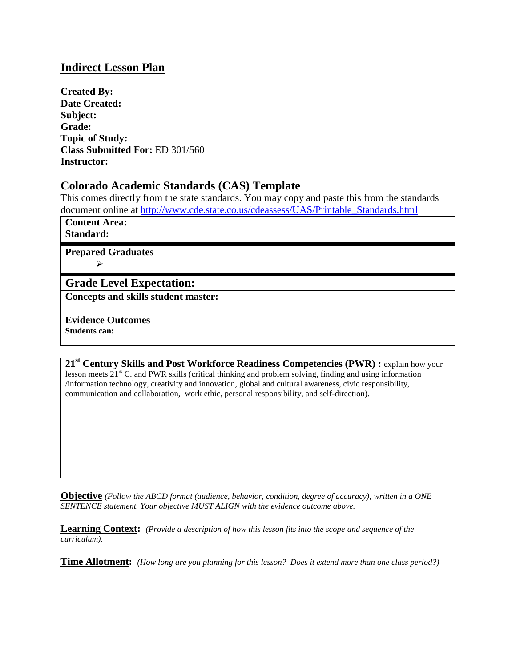### **Indirect Lesson Plan**

**Created By: Date Created: Subject: Grade: Topic of Study: Class Submitted For:** ED 301/560 **Instructor:**

### **Colorado Academic Standards (CAS) Template**

This comes directly from the state standards. You may copy and paste this from the standards document online at [http://www.cde.state.co.us/cdeassess/UAS/Printable\\_Standards.html](http://www.cde.state.co.us/cdeassess/UAS/Printable_Standards.html)

**Content Area: Standard:**

**Prepared Graduates**  $\blacktriangleright$ 

## **Grade Level Expectation:**

**Concepts and skills student master:**

**Evidence Outcomes Students can:**

**21st Century Skills and Post Workforce Readiness Competencies (PWR) :** explain how your lesson meets  $21<sup>st</sup>$  C. and PWR skills (critical thinking and problem solving, finding and using information /information technology, creativity and innovation, global and cultural awareness, civic responsibility, communication and collaboration, work ethic, personal responsibility, and self-direction).

**Objective** *(Follow the ABCD format (audience, behavior, condition, degree of accuracy), written in a ONE SENTENCE statement. Your objective MUST ALIGN with the evidence outcome above.*

**Learning Context:** *(Provide a description of how this lesson fits into the scope and sequence of the curriculum).* 

**Time Allotment:** *(How long are you planning for this lesson? Does it extend more than one class period?)*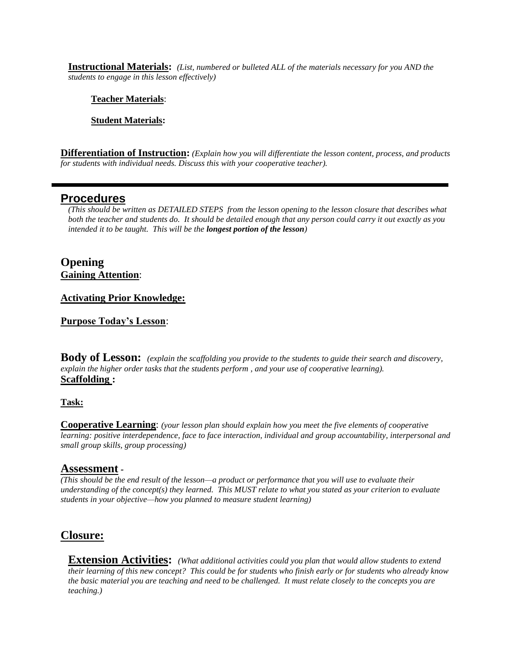**Instructional Materials:** *(List, numbered or bulleted ALL of the materials necessary for you AND the students to engage in this lesson effectively)*

#### **Teacher Materials**:

**Student Materials:** 

**Differentiation of Instruction:** *(Explain how you will differentiate the lesson content, process, and products for students with individual needs. Discuss this with your cooperative teacher).*

### **Procedures**

*(This should be written as DETAILED STEPS from the lesson opening to the lesson closure that describes what both the teacher and students do. It should be detailed enough that any person could carry it out exactly as you intended it to be taught. This will be the longest portion of the lesson)*

**Opening Gaining Attention**:

#### **Activating Prior Knowledge:**

**Purpose Today's Lesson**:

**Body of Lesson:** *(explain the scaffolding you provide to the students to guide their search and discovery, explain the higher order tasks that the students perform , and your use of cooperative learning).* **Scaffolding :** 

#### **Task:**

**Cooperative Learning**: *(your lesson plan should explain how you meet the five elements of cooperative learning: positive interdependence, face to face interaction, individual and group accountability, interpersonal and small group skills, group processing)*

#### **Assessment** *-*

*(This should be the end result of the lesson—a product or performance that you will use to evaluate their understanding of the concept(s) they learned. This MUST relate to what you stated as your criterion to evaluate students in your objective—how you planned to measure student learning)* 

### **Closure:**

**Extension Activities:** *(What additional activities could you plan that would allow students to extend their learning of this new concept? This could be for students who finish early or for students who already know the basic material you are teaching and need to be challenged. It must relate closely to the concepts you are teaching.)*